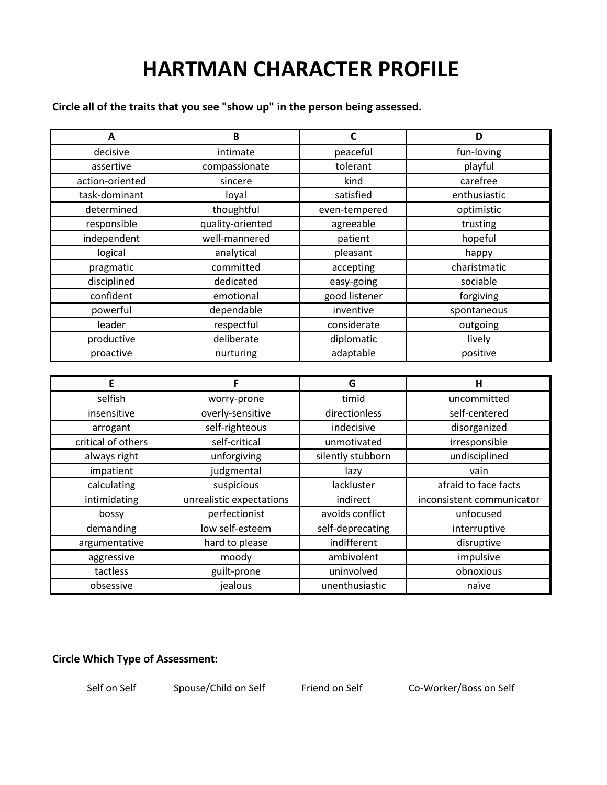## **HARTMAN CHARACTER PROFILE**

**Circle all of the traits that you see "show up" in the person being assessed.**

| A                  | B                        | $\mathbf c$       | D                         |
|--------------------|--------------------------|-------------------|---------------------------|
| decisive           | intimate                 | peaceful          | fun-loving                |
| assertive          | compassionate            | tolerant          | playful                   |
| action-oriented    | sincere                  | kind              | carefree                  |
| task-dominant      | loyal                    | satisfied         | enthusiastic              |
| determined         | thoughtful               | even-tempered     | optimistic                |
| responsible        | quality-oriented         | agreeable         | trusting                  |
| independent        | well-mannered            | patient           | hopeful                   |
| logical            | analytical               | pleasant          | happy                     |
| pragmatic          | committed                | accepting         | charistmatic              |
| disciplined        | dedicated                | easy-going        | sociable                  |
| confident          | emotional                | good listener     | forgiving                 |
| powerful           | dependable               | inventive         | spontaneous               |
| leader             | respectful               | considerate       | outgoing                  |
| productive         | deliberate               | diplomatic        | lively                    |
| proactive          | nurturing                | adaptable         | positive                  |
|                    |                          |                   |                           |
| E                  | F                        | G                 | Н                         |
| selfish            | worry-prone              | timid             | uncommitted               |
| insensitive        | overly-sensitive         | directionless     | self-centered             |
| arrogant           | self-righteous           | indecisive        | disorganized              |
| critical of others | self-critical            | unmotivated       | irresponsible             |
| always right       | unforgiving              | silently stubborn | undisciplined             |
| impatient          | judgmental               | lazy              | vain                      |
| calculating        | suspicious               | lackluster        | afraid to face facts      |
| intimidating       | unrealistic expectations | indirect          | inconsistent communicator |
| bossy              | perfectionist            | avoids conflict   | unfocused                 |
| demanding          | low self-esteem          | self-deprecating  | interruptive              |
| argumentative      | hard to please           | indifferent       | disruptive                |
| aggressive         | moody                    | ambivolent        | impulsive                 |
| tactless           | guilt-prone              | uninvolved        | obnoxious                 |
| obsessive          | jealous                  | unenthusiastic    | naïve                     |

## **Circle Which Type of Assessment:**

Self on Self Spouse/Child on Self Friend on Self Co-Worker/Boss on Self